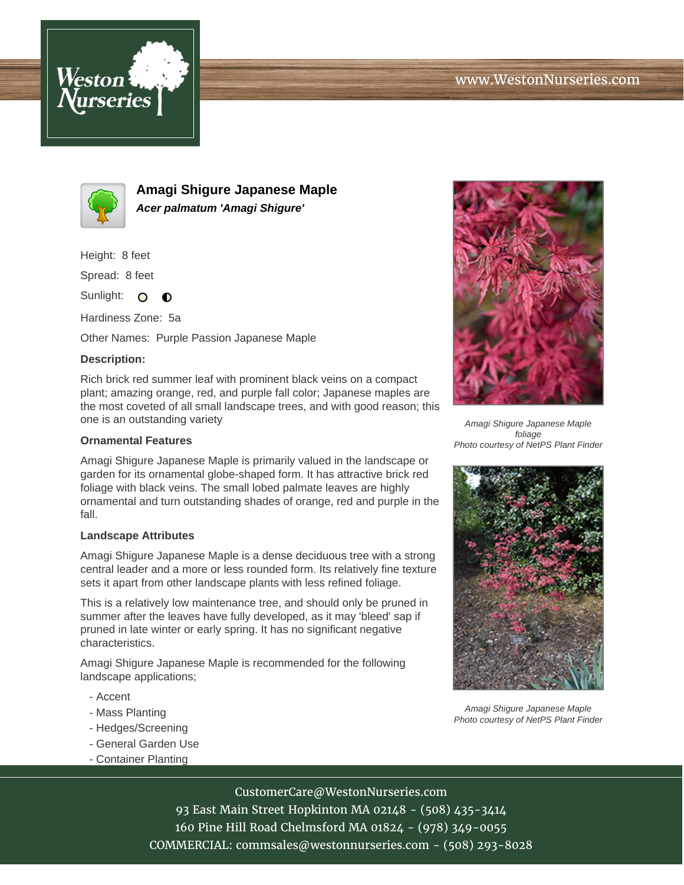



**Amagi Shigure Japanese Maple Acer palmatum 'Amagi Shigure'**

Height: 8 feet

Spread: 8 feet

Sunlight: O  $\bullet$ 

Hardiness Zone: 5a

Other Names: Purple Passion Japanese Maple

## **Description:**

Rich brick red summer leaf with prominent black veins on a compact plant; amazing orange, red, and purple fall color; Japanese maples are the most coveted of all small landscape trees, and with good reason; this one is an outstanding variety

## **Ornamental Features**

Amagi Shigure Japanese Maple is primarily valued in the landscape or garden for its ornamental globe-shaped form. It has attractive brick red foliage with black veins. The small lobed palmate leaves are highly ornamental and turn outstanding shades of orange, red and purple in the fall.

## **Landscape Attributes**

Amagi Shigure Japanese Maple is a dense deciduous tree with a strong central leader and a more or less rounded form. Its relatively fine texture sets it apart from other landscape plants with less refined foliage.

This is a relatively low maintenance tree, and should only be pruned in summer after the leaves have fully developed, as it may 'bleed' sap if pruned in late winter or early spring. It has no significant negative characteristics.

Amagi Shigure Japanese Maple is recommended for the following landscape applications;

- Accent
- Mass Planting
- Hedges/Screening
- General Garden Use
- Container Planting



Amagi Shigure Japanese Maple foliage Photo courtesy of NetPS Plant Finder



Amagi Shigure Japanese Maple Photo courtesy of NetPS Plant Finder

CustomerCare@WestonNurseries.com 93 East Main Street Hopkinton MA 02148 - (508) 435-3414 160 Pine Hill Road Chelmsford MA 01824 - (978) 349-0055 COMMERCIAL: commsales@westonnurseries.com - (508) 293-8028